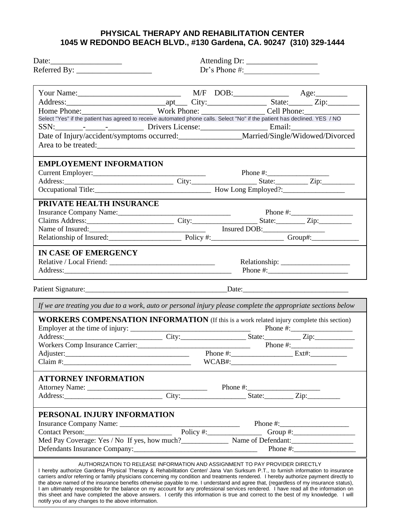## **PHYSICAL THERAPY AND REHABILITATION CENTER 1045 W REDONDO BEACH BLVD., #130 Gardena, CA. 90247 (310) 329-1444**

|                                                                                                                                                                                                                                                                              | Dr's Phone #:                                                                |              |              |  |
|------------------------------------------------------------------------------------------------------------------------------------------------------------------------------------------------------------------------------------------------------------------------------|------------------------------------------------------------------------------|--------------|--------------|--|
|                                                                                                                                                                                                                                                                              |                                                                              |              |              |  |
|                                                                                                                                                                                                                                                                              |                                                                              |              |              |  |
|                                                                                                                                                                                                                                                                              |                                                                              |              |              |  |
|                                                                                                                                                                                                                                                                              |                                                                              |              |              |  |
| Home Phone: Cell Phone: Cell Phone: Cell Phone: Cell Phone: Cell Phone: Cell Phone: Cell Phone: Select "Yes" if the patient has agreed to receive automated phone calls. Select "No" if the patient has declined. YES / NO                                                   |                                                                              |              |              |  |
| SSN: Privers License: Email: Email:                                                                                                                                                                                                                                          |                                                                              |              |              |  |
| Date of Injury/accident/symptoms occurred: Married/Single/Widowed/Divorced                                                                                                                                                                                                   |                                                                              |              |              |  |
|                                                                                                                                                                                                                                                                              |                                                                              |              |              |  |
|                                                                                                                                                                                                                                                                              |                                                                              |              |              |  |
| <b>EMPLOYEMENT INFORMATION</b>                                                                                                                                                                                                                                               |                                                                              |              |              |  |
|                                                                                                                                                                                                                                                                              |                                                                              | Phone $\#$ : |              |  |
|                                                                                                                                                                                                                                                                              |                                                                              |              |              |  |
|                                                                                                                                                                                                                                                                              |                                                                              |              |              |  |
|                                                                                                                                                                                                                                                                              |                                                                              |              |              |  |
| PRIVATE HEALTH INSURANCE                                                                                                                                                                                                                                                     |                                                                              |              |              |  |
| Insurance Company Name:<br>Claims Address: City: Claims Address: City: City: Claims Address: City: Claims Address: City: City: City: City: City: City: City: City: City: City: City: City: City: City: City: City: City: City: C                                             |                                                                              |              |              |  |
|                                                                                                                                                                                                                                                                              |                                                                              |              |              |  |
| Name of Insured:<br>Relationship of Insured:<br>Relationship of Insured:<br>Policy #:<br>Policy +:<br>Croup#:                                                                                                                                                                |                                                                              |              |              |  |
|                                                                                                                                                                                                                                                                              |                                                                              |              |              |  |
| <b>IN CASE OF EMERGENCY</b>                                                                                                                                                                                                                                                  |                                                                              |              |              |  |
|                                                                                                                                                                                                                                                                              |                                                                              |              |              |  |
| Address: National Address:                                                                                                                                                                                                                                                   |                                                                              |              |              |  |
|                                                                                                                                                                                                                                                                              |                                                                              |              |              |  |
|                                                                                                                                                                                                                                                                              |                                                                              |              |              |  |
|                                                                                                                                                                                                                                                                              |                                                                              |              |              |  |
| If we are treating you due to a work, auto or personal injury please complete the appropriate sections below                                                                                                                                                                 |                                                                              |              |              |  |
| <b>WORKERS COMPENSATION INFORMATION</b> (If this is a work related injury complete this section)                                                                                                                                                                             |                                                                              |              |              |  |
|                                                                                                                                                                                                                                                                              |                                                                              |              |              |  |
| Address: <u>City: City: State:</u> Zip: Zip:                                                                                                                                                                                                                                 |                                                                              |              |              |  |
|                                                                                                                                                                                                                                                                              |                                                                              |              |              |  |
| Workers Comp Insurance Carrier:<br>Adjuster: Phone #: Phone #: Ext#:                                                                                                                                                                                                         |                                                                              |              |              |  |
| Claim #:                                                                                                                                                                                                                                                                     |                                                                              |              |              |  |
|                                                                                                                                                                                                                                                                              |                                                                              |              |              |  |
| <b>ATTORNEY INFORMATION</b>                                                                                                                                                                                                                                                  |                                                                              |              |              |  |
|                                                                                                                                                                                                                                                                              |                                                                              |              |              |  |
|                                                                                                                                                                                                                                                                              |                                                                              |              |              |  |
|                                                                                                                                                                                                                                                                              |                                                                              |              |              |  |
| PERSONAL INJURY INFORMATION                                                                                                                                                                                                                                                  |                                                                              |              |              |  |
| Insurance Company Name: Phone #: Phone #: Phone #: Phone #: Contact Person: Phone #: Contact Person:                                                                                                                                                                         |                                                                              |              |              |  |
|                                                                                                                                                                                                                                                                              |                                                                              |              |              |  |
|                                                                                                                                                                                                                                                                              |                                                                              |              |              |  |
|                                                                                                                                                                                                                                                                              |                                                                              |              | Phone $\#$ : |  |
|                                                                                                                                                                                                                                                                              | AUTHORIZATION TO RELEASE INFORMATION AND ASSIGNMENT TO PAY PROVIDER DIRECTLY |              |              |  |
| I hereby authorize Gardena Physical Therapy & Rehabilitation Center/ Jana Van Surksum P.T., to furnish information to insurance                                                                                                                                              |                                                                              |              |              |  |
| carriers and/or referring or family physicians concerning my condition and treatments rendered. I hereby authorize payment directly to                                                                                                                                       |                                                                              |              |              |  |
| the above named of the insurance benefits otherwise payable to me. I understand and agree that, (regardless of my insurance status),<br>I am ultimately responsible for the balance on my account for any professional services rendered. I have read all the information on |                                                                              |              |              |  |
| this sheet and have completed the above answers. I certify this information is true and correct to the best of my knowledge. I will                                                                                                                                          |                                                                              |              |              |  |
| notify you of any changes to the above information.                                                                                                                                                                                                                          |                                                                              |              |              |  |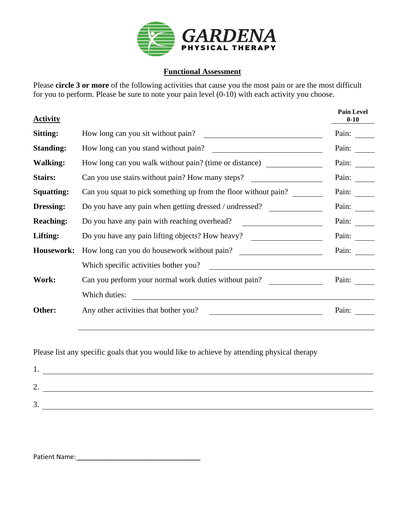

## **Functional Assessment**

Please **circle 3 or more** of the following activities that cause you the most pain or are the most difficult for you to perform. Please be sure to note your pain level (0-10) with each activity you choose.

| <b>Activity</b>   |                                                                 | <b>Pain Level</b><br>$0 - 10$ |
|-------------------|-----------------------------------------------------------------|-------------------------------|
| Sitting:          | How long can you sit without pain?                              | Pain:                         |
| <b>Standing:</b>  | How long can you stand without pain?                            | Pain:                         |
| <b>Walking:</b>   | How long can you walk without pain? (time or distance)          | Pain:                         |
| Stairs:           | Can you use stairs without pain? How many steps?                | Pain:                         |
| <b>Squatting:</b> | Can you squat to pick something up from the floor without pain? | Pain:                         |
| Dressing:         | Do you have any pain when getting dressed / undressed?          | Pain:                         |
| <b>Reaching:</b>  | Do you have any pain with reaching overhead?                    | Pain:                         |
| Lifting:          | Do you have any pain lifting objects? How heavy?                | Pain:                         |
| Housework:        | How long can you do housework without pain?                     | Pain:                         |
|                   | Which specific activities bother you?                           |                               |
| Work:             | Can you perform your normal work duties without pain?           | Pain:                         |
|                   | Which duties:                                                   |                               |
| Other:            | Any other activities that bother you?                           | Pain:                         |
|                   |                                                                 |                               |

Please list any specific goals that you would like to achieve by attending physical therapy

| <u>.</u> |  |
|----------|--|
| <u>.</u> |  |

Patient Name: \_\_\_\_\_\_\_\_\_\_\_\_\_\_\_\_\_\_\_\_\_\_\_\_\_\_\_\_\_\_\_\_\_\_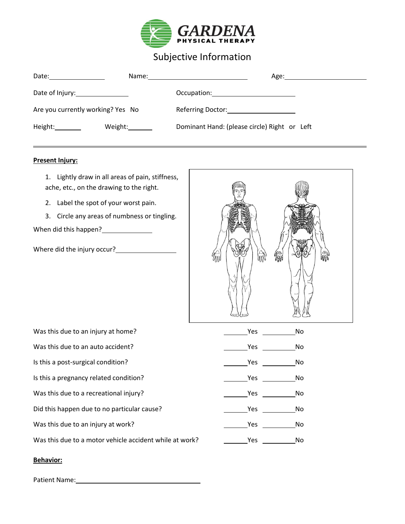

# Subjective Information

| Date: $\qquad \qquad \qquad$      |                 | Age:                                         |
|-----------------------------------|-----------------|----------------------------------------------|
| Date of Injury: 1990 March 2014   |                 |                                              |
| Are you currently working? Yes No |                 | Referring Doctor: Network of the Manuscript  |
| Height:_________                  | Weight:________ | Dominant Hand: (please circle) Right or Left |

#### **Present Injury:**

1. Lightly draw in all areas of pain, stiffness, ache, etc., on the drawing to the right.

- 2. Label the spot of your worst pain.
- 3. Circle any areas of numbness or tingling.

When did this happen?<br>
<u>
</u>

Where did the injury occur?



| Was this due to an injury at home?                      | <b>Yes</b> | No. |
|---------------------------------------------------------|------------|-----|
| Was this due to an auto accident?                       | Yes        | No. |
| Is this a post-surgical condition?                      | Yes        | No. |
| Is this a pregnancy related condition?                  | Yes        | No. |
| Was this due to a recreational injury?                  | Yes        | No. |
| Did this happen due to no particular cause?             | Yes        | No  |
| Was this due to an injury at work?                      | Yes.       | No  |
| Was this due to a motor vehicle accident while at work? | Yes        | No  |

#### **Behavior:**

Patient Name: \_\_\_\_\_\_\_\_\_\_\_\_\_\_\_\_\_\_\_\_\_\_\_\_\_\_\_\_\_\_\_\_\_\_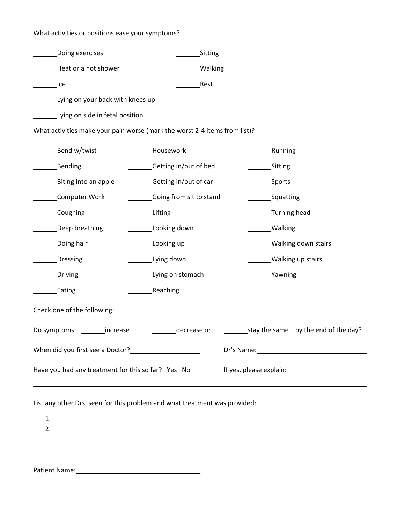### What activities or positions ease your symptoms?

| Doing exercises                                                                                                                                                                                                                        |                         | Sitting        |                                                                                                                 |                                                 |  |  |
|----------------------------------------------------------------------------------------------------------------------------------------------------------------------------------------------------------------------------------------|-------------------------|----------------|-----------------------------------------------------------------------------------------------------------------|-------------------------------------------------|--|--|
| Heat or a hot shower                                                                                                                                                                                                                   |                         | <b>Walking</b> |                                                                                                                 |                                                 |  |  |
| lce                                                                                                                                                                                                                                    |                         | Rest           |                                                                                                                 |                                                 |  |  |
| Lying on your back with knees up                                                                                                                                                                                                       |                         |                |                                                                                                                 |                                                 |  |  |
| Lying on side in fetal position                                                                                                                                                                                                        |                         |                |                                                                                                                 |                                                 |  |  |
| What activities make your pain worse (mark the worst 2-4 items from list)?                                                                                                                                                             |                         |                |                                                                                                                 |                                                 |  |  |
| Bend w/twist                                                                                                                                                                                                                           | Housework               |                |                                                                                                                 | Running                                         |  |  |
| Bending                                                                                                                                                                                                                                | Getting in/out of bed   |                | Sitting                                                                                                         |                                                 |  |  |
| Biting into an apple                                                                                                                                                                                                                   | Getting in/out of car   |                | _Sports                                                                                                         |                                                 |  |  |
| Computer Work                                                                                                                                                                                                                          | Going from sit to stand |                | _Squatting                                                                                                      |                                                 |  |  |
| Coughing                                                                                                                                                                                                                               | Lifting                 |                | _Turning head                                                                                                   |                                                 |  |  |
| Deep breathing                                                                                                                                                                                                                         | Looking down            |                | _Walking                                                                                                        |                                                 |  |  |
| _Doing hair                                                                                                                                                                                                                            | Looking up              |                | Walking down stairs                                                                                             |                                                 |  |  |
| Dressing                                                                                                                                                                                                                               | Lying down              |                | Walking up stairs                                                                                               |                                                 |  |  |
| Driving                                                                                                                                                                                                                                | Lying on stomach        |                | Yawning                                                                                                         |                                                 |  |  |
| _Eating                                                                                                                                                                                                                                | _Reaching               |                |                                                                                                                 |                                                 |  |  |
| Check one of the following:                                                                                                                                                                                                            |                         |                |                                                                                                                 |                                                 |  |  |
| stay the same by the end of the day?<br>decrease or<br>Do symptoms _________ increase                                                                                                                                                  |                         |                |                                                                                                                 |                                                 |  |  |
| When did you first see a Doctor?<br><u>Letter and the second of the set of the set of the set of the set of the set of the set of the set of the set of the set of the set of the set of the set of the set of the set of the set </u> |                         |                | Dr's Name: 1988 and 1988 and 1988 and 1988 and 1988 and 1988 and 1988 and 1988 and 1988 and 1988 and 1988 and 1 |                                                 |  |  |
| Have you had any treatment for this so far? Yes No                                                                                                                                                                                     |                         |                |                                                                                                                 | If yes, please explain: If yes, please explain: |  |  |
|                                                                                                                                                                                                                                        |                         |                |                                                                                                                 |                                                 |  |  |

List any other Drs. seen for this problem and what treatment was provided:

1. 2.

Patient Name: \_\_\_\_\_\_\_\_\_\_\_\_\_\_\_\_\_\_\_\_\_\_\_\_\_\_\_\_\_\_\_\_\_\_